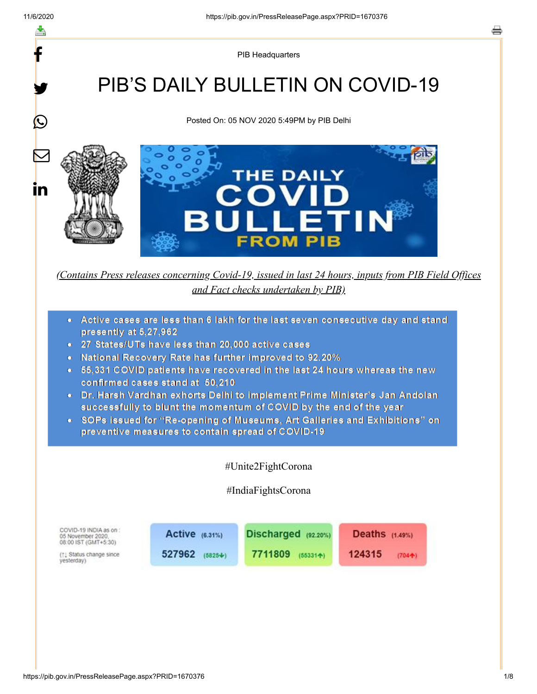y.

 $\mathbf{\Omega}$ 

 $\bm{\nabla}$ 

in

PIB Headquarters

# PIB'S DAILY BULLETIN ON COVID-19

Posted On: 05 NOV 2020 5:49PM by PIB Delhi



*(Contains Press releases concerning Covid-19, issued in last 24 hours, inputs from PIB Field Offices and Fact checks undertaken by PIB)*

- Active cases are less than 6 lakh for the last seven consecutive day and stand  $\bullet$ presently at 5,27,962
- 27 States/UTs have less than 20,000 active cases
- National Recovery Rate has further improved to 92.20%
- 55,331 COVID patients have recovered in the last 24 hours whereas the new confirmed cases stand at 50.210
- Dr. Harsh Vardhan exhorts Delhi to implement Prime Minister's Jan Andolan successfully to blunt the momentum of COVID by the end of the year
- SOPs issued for "Re-opening of Museums. Art Galleries and Exhibitions" on preventive measures to contain spread of COVID-19

#Unite2FightCorona

#IndiaFightsCorona

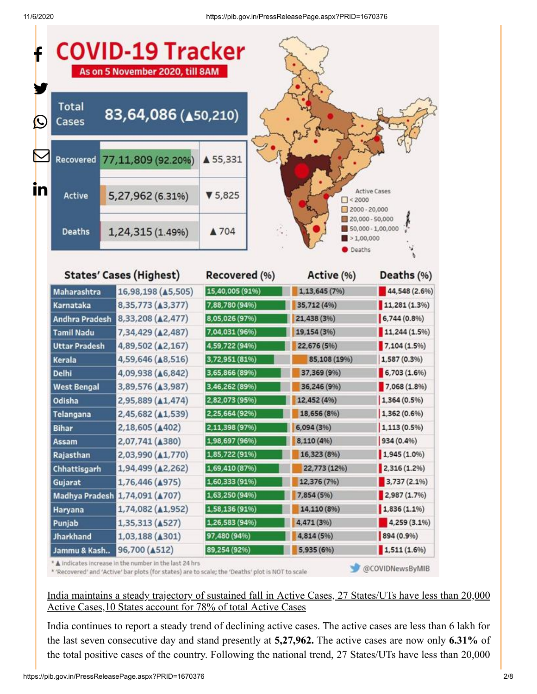|     |                                              | <b>COVID-19 Tracker</b><br>As on 5 November 2020, till 8AM |                 |                                       |                                      |  |
|-----|----------------------------------------------|------------------------------------------------------------|-----------------|---------------------------------------|--------------------------------------|--|
| (L) | <b>Total</b><br>83,64,086 (450,210)<br>Cases |                                                            |                 |                                       |                                      |  |
|     |                                              | Recovered 77,11,809 (92.20%)                               | ▲ 55,331        |                                       |                                      |  |
| in  | Active                                       | 5,27,962 (6.31%)                                           | 95,825          | < 2000                                | <b>Active Cases</b><br>2000 - 20,000 |  |
|     | <b>Deaths</b>                                | 1,24,315 (1.49%)                                           | ▲ 704           | 20,000 - 50,000<br>1,00,000<br>Deaths | 50,000 - 1,00,000                    |  |
|     | <b>States' Cases (Highest)</b>               |                                                            | Recovered (%)   | Active (%)                            | Deaths (%)                           |  |
|     | Maharashtra                                  | 16,98,198 (45,505)                                         | 15,40,005 (91%) | 1,13,645 (7%)                         | 44,548 (2.6%)                        |  |
|     | Karnataka                                    | 8,35,773 (43,377)                                          | 7,88,780 (94%)  | 35,712 (4%)                           | 11,281 (1.3%)                        |  |

| Maharashtra          | 16,98,198 (▲5,505)             | (15,40,005 (91%) | 1, 13, 645 (7%) | 44,548 (2.6%)               |
|----------------------|--------------------------------|------------------|-----------------|-----------------------------|
| Karnataka            | 8,35,773 (43,377)              | 7,88,780 (94%)   | 35,712 (4%)     | 11,281(1.3%)                |
| Andhra Pradesh       | 8,33,208 (42,477)              | 8,05,026 (97%)   | 21,438 (3%)     | 6,744(0.8%                  |
| <b>Tamil Nadu</b>    | 7,34,429 (42,487)              | 7,04,031 (96%)   | 19,154 (3%)     | 11,244 (1.5%)               |
| <b>Uttar Pradesh</b> | 4,89,502 (42,167)              | 4,59,722 (94%)   | 22,676 (5%)     | 7,104 (1.5%)                |
| Kerala               | 4,59,646 ( $\triangle$ 8,516)  | 3,72,951 (81%)   | 85,108 (19%)    | 1,587 (0.3%)                |
| Delhi                | 4,09,938 ( $\triangle$ 6,842)  | 3,65,866 (89%)   | 37,369 (9%)     | 6,703 (1.6%)                |
| <b>West Bengal</b>   | 3,89,576 ( $\triangle$ 3,987)  | 3,46,262 (89%)   | 36,246 (9%)     | 7,068 (1.8%)                |
| Odisha               | 2,95,889 ( $\triangle 1,474$ ) | 2,82,073 (95%)   | 12,452 (4%)     | 1,364 (0.5%)                |
| Telangana            | 2,45,682 (41,539)              | 2,25,664 (92%)   | 18,656 (8%)     | 1,362 (0.6%)                |
| <b>Bihar</b>         | 2,18,605 (4402)                | 2,11,398 (97%)   | 6,094 (3%)      | $1,113(0.5\%)$              |
| Assam                | 2,07,741 ( $\triangle$ 380)    | 1,98,697 (96%)   | 8,110 (4%)      | 934 (0.4%)                  |
| Rajasthan            | 2,03,990 (41,770)              | 1,85,722 (91%)   | 16,323 (8%)     | 1,945(1.0%                  |
| <b>Chhattisgarh</b>  | 1,94,499 ( $\triangle$ 2,262)  | 1,69,410 (87%)   | 22,773 (12%)    | 2,316(1.2%)                 |
| Gujarat              | 1,76,446 (4975)                | 1,60,333 (91%)   | 12,376 (7%)     | 3,737 (2.1%)                |
| Madhya Pradesh       | 1,74,091 ( $\triangle$ 707)    | 1,63,250 (94%)   | 7,854 (5%)      | 2,987 (1.7%)                |
| Haryana              | 1,74,082 ( $\triangle$ 1,952)  | 1,58,136 (91%)   | 14,110 (8%)     | 1,836(1.1%                  |
| Punjab               | 1,35,313 (4527)                | 1,26,583 (94%)   | 4,471 (3%)      | $\blacksquare$ 4,259 (3.1%) |
| <b>Jharkhand</b>     | 1,03,188 ( $\triangle$ 301)    | 97,480 (94%)     | 4,814 (5%)      | 894 (0.9%)                  |
| Jammu & Kash         | 96,700 (A512)                  | 89,254 (92%)     | 5,935 (6%)      | 1,511(1.696)                |

\* A indicates increase in the number in the last 24 hrs

\* 'Recovered' and 'Active' bar plots (for states) are to scale; the 'Deaths' plot is NOT to scale

@COVIDNewsByMIB

### India maintains a steady trajectory of sustained fall in Active Cases, 27 States/UTs have less than 20,000 Active Cases,10 States account for 78% of total Active Cases

India continues to report a steady trend of declining active cases. The active cases are less than 6 lakh for the last seven consecutive day and stand presently at **5,27,962.** The active cases are now only **6.31%** of the total positive cases of the country. Following the national trend, 27 States/UTs have less than 20,000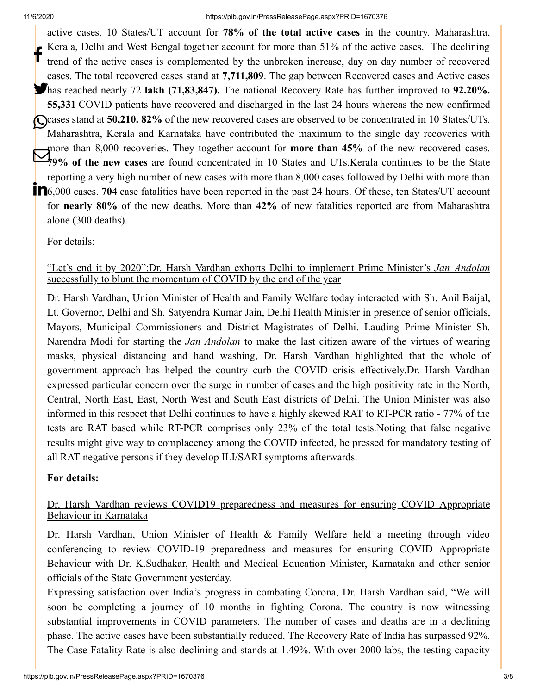active cases. 10 States/UT account for **78% of the total active cases** in the country. Maharashtra, Kerala, Delhi and West Bengal together account for more than 51% of the active cases. The declining trend of the active cases is complemented by the unbroken increase, day on day number of recovered cases. The total recovered cases stand at **7,711,809**. The gap between Recovered cases and Active cases has reached nearly 72 **lakh (71,83,847).** The national Recovery Rate has further improved to **92.20%. 55,331** COVID patients have recovered and discharged in the last 24 hours whereas the new confirmed Cases stand at **50,210. 82%** of the new recovered cases are observed to be concentrated in 10 States/UTs. Maharashtra, Kerala and Karnataka have contributed the maximum to the single day recoveries with more than 8,000 recoveries. They together account for **more than 45%** of the new recovered cases. Figure than 8,000 recoveries. They together account for **more than 45%** of the new recovered cases.<br>**19%** of the new cases are found concentrated in 10 States and UTs.Kerala continues to be the State reporting a very high number of new cases with more than 8,000 cases followed by Delhi with more than **n**6,000 cases. **704** case fatalities have been reported in the past 24 hours. Of these, ten States/UT account for **nearly 80%** of the new deaths. More than **42%** of new fatalities reported are from Maharashtra alone (300 deaths). f

[For details:](https://pib.gov.in/PressReleseDetail.aspx?PRID=1670307)

### "Let's end it by 2020":Dr. Harsh Vardhan exhorts Delhi to implement Prime Minister's *Jan Andolan* successfully to blunt the momentum of COVID by the end of the year

Dr. Harsh Vardhan, Union Minister of Health and Family Welfare today interacted with Sh. Anil Baijal, Lt. Governor, Delhi and Sh. Satyendra Kumar Jain, Delhi Health Minister in presence of senior officials, Mayors, Municipal Commissioners and District Magistrates of Delhi. Lauding Prime Minister Sh. Narendra Modi for starting the *Jan Andolan* to make the last citizen aware of the virtues of wearing masks, physical distancing and hand washing, Dr. Harsh Vardhan highlighted that the whole of government approach has helped the country curb the COVID crisis effectively.Dr. Harsh Vardhan expressed particular concern over the surge in number of cases and the high positivity rate in the North, Central, North East, East, North West and South East districts of Delhi. The Union Minister was also informed in this respect that Delhi continues to have a highly skewed RAT to RT-PCR ratio - 77% of the tests are RAT based while RT-PCR comprises only 23% of the total tests.Noting that false negative results might give way to complacency among the COVID infected, he pressed for mandatory testing of all RAT negative persons if they develop ILI/SARI symptoms afterwards.

### **[For details:](https://pib.gov.in/PressReleseDetail.aspx?PRID=1670366)**

## Dr. Harsh Vardhan reviews COVID19 preparedness and measures for ensuring COVID Appropriate Behaviour in Karnataka

Dr. Harsh Vardhan, Union Minister of Health & Family Welfare held a meeting through video conferencing to review COVID-19 preparedness and measures for ensuring COVID Appropriate Behaviour with Dr. K.Sudhakar, Health and Medical Education Minister, Karnataka and other senior officials of the State Government yesterday.

Expressing satisfaction over India's progress in combating Corona, Dr. Harsh Vardhan said, "We will soon be completing a journey of 10 months in fighting Corona. The country is now witnessing substantial improvements in COVID parameters. The number of cases and deaths are in a declining phase. The active cases have been substantially reduced. The Recovery Rate of India has surpassed 92%. The Case Fatality Rate is also declining and stands at 1.49%. With over 2000 labs, the testing capacity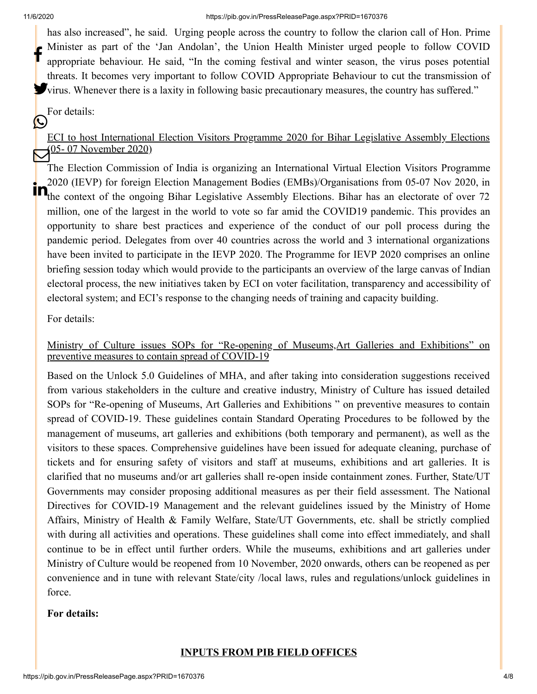has also increased", he said. Urging people across the country to follow the clarion call of Hon. Prime Minister as part of the 'Jan Andolan', the Union Health Minister urged people to follow COVID appropriate behaviour. He said, "In the coming festival and winter season, the virus poses potential threats. It becomes very important to follow COVID Appropriate Behaviour to cut the transmission of Virus. Whenever there is a laxity in following basic precautionary measures, the country has suffered." f

#### [For details:](https://pib.gov.in/PressReleseDetail.aspx?PRID=1670183)  $\left(\cup\right)$

## ECI to host International Election Visitors Programme 2020 for Bihar Legislative Assembly Elections 05-07 November 2020)

The Election Commission of India is organizing an International Virtual Election Visitors Programme 2020 (IEVP) for foreign Election Management Bodies (EMBs)/Organisations from 05-07 Nov 2020, in the context of the ongoing Bihar Legislative Assembly Elections. Bihar has an electorate of over 72 million, one of the largest in the world to vote so far amid the COVID19 pandemic. This provides an opportunity to share best practices and experience of the conduct of our poll process during the pandemic period. Delegates from over 40 countries across the world and 3 international organizations have been invited to participate in the IEVP 2020. The Programme for IEVP 2020 comprises an online briefing session today which would provide to the participants an overview of the large canvas of Indian electoral process, the new initiatives taken by ECI on voter facilitation, transparency and accessibility of electoral system; and ECI's response to the changing needs of training and capacity building.

[For details:](https://pib.gov.in/PressReleseDetail.aspx?PRID=1670205)

Ministry of Culture issues SOPs for "Re-opening of Museums,Art Galleries and Exhibitions" on preventive measures to contain spread of COVID-19

Based on the Unlock 5.0 Guidelines of MHA, and after taking into consideration suggestions received from various stakeholders in the culture and creative industry, Ministry of Culture has issued detailed SOPs for "Re-opening of Museums, Art Galleries and Exhibitions " on preventive measures to contain spread of COVID-19. These guidelines contain Standard Operating Procedures to be followed by the management of museums, art galleries and exhibitions (both temporary and permanent), as well as the visitors to these spaces. Comprehensive guidelines have been issued for adequate cleaning, purchase of tickets and for ensuring safety of visitors and staff at museums, exhibitions and art galleries. It is clarified that no museums and/or art galleries shall re-open inside containment zones. Further, State/UT Governments may consider proposing additional measures as per their field assessment. The National Directives for COVID-19 Management and the relevant guidelines issued by the Ministry of Home Affairs, Ministry of Health & Family Welfare, State/UT Governments, etc. shall be strictly complied with during all activities and operations. These guidelines shall come into effect immediately, and shall continue to be in effect until further orders. While the museums, exhibitions and art galleries under Ministry of Culture would be reopened from 10 November, 2020 onwards, others can be reopened as per convenience and in tune with relevant State/city /local laws, rules and regulations/unlock guidelines in force.

### **[For details:](https://pib.gov.in/PressReleseDetail.aspx?PRID=1670360)**

### **INPUTS FROM PIB FIELD OFFICES**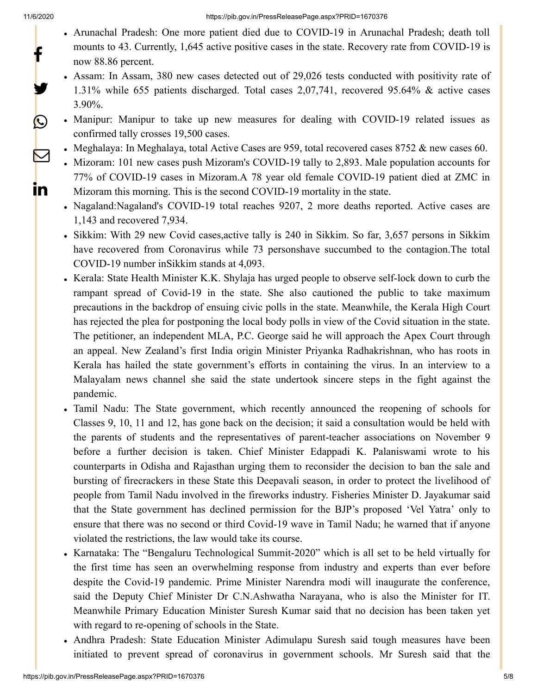y.

 $\bigcirc$ 

 $\boxtimes$ 

<u>in</u>

- Arunachal Pradesh: One more patient died due to COVID-19 in Arunachal Pradesh; death toll mounts to 43. Currently, 1,645 active positive cases in the state. Recovery rate from COVID-19 is now 88.86 percent.
- Assam: In Assam, 380 new cases detected out of 29,026 tests conducted with positivity rate of 1.31% while 655 patients discharged. Total cases 2,07,741, recovered 95.64% & active cases 3.90%.

Manipur: Manipur to take up new measures for dealing with COVID-19 related issues as confirmed tally crosses 19,500 cases.

- Meghalaya: In Meghalaya, total Active Cases are 959, total recovered cases  $8752 \&$  new cases 60.
- Mizoram: 101 new cases push Mizoram's COVID-19 tally to 2,893. Male population accounts for 77% of COVID-19 cases in Mizoram.A 78 year old female COVID-19 patient died at ZMC in Mizoram this morning. This is the second COVID-19 mortality in the state.
- Nagaland:Nagaland's COVID-19 total reaches 9207, 2 more deaths reported. Active cases are 1,143 and recovered 7,934.
- Sikkim: With 29 new Covid cases, active tally is 240 in Sikkim. So far, 3,657 persons in Sikkim have recovered from Coronavirus while 73 personshave succumbed to the contagion.The total COVID-19 number inSikkim stands at 4,093.
- Kerala: State Health Minister K.K. Shylaja has urged people to observe self-lock down to curb the rampant spread of Covid-19 in the state. She also cautioned the public to take maximum precautions in the backdrop of ensuing civic polls in the state. Meanwhile, the Kerala High Court has rejected the plea for postponing the local body polls in view of the Covid situation in the state. The petitioner, an independent MLA, P.C. George said he will approach the Apex Court through an appeal. New Zealand's first India origin Minister Priyanka Radhakrishnan, who has roots in Kerala has hailed the state government's efforts in containing the virus. In an interview to a Malayalam news channel she said the state undertook sincere steps in the fight against the pandemic.
- Tamil Nadu: The State government, which recently announced the reopening of schools for Classes 9, 10, 11 and 12, has gone back on the decision; it said a consultation would be held with the parents of students and the representatives of parent-teacher associations on November 9 before a further decision is taken. Chief Minister Edappadi K. Palaniswami wrote to his counterparts in Odisha and Rajasthan urging them to reconsider the decision to ban the sale and bursting of firecrackers in these State this Deepavali season, in order to protect the livelihood of people from Tamil Nadu involved in the fireworks industry. Fisheries Minister D. Jayakumar said that the State government has declined permission for the BJP's proposed 'Vel Yatra' only to ensure that there was no second or third Covid-19 wave in Tamil Nadu; he warned that if anyone violated the restrictions, the law would take its course.
- Karnataka: The "Bengaluru Technological Summit-2020" which is all set to be held virtually for the first time has seen an overwhelming response from industry and experts than ever before despite the Covid-19 pandemic. Prime Minister Narendra modi will inaugurate the conference, said the Deputy Chief Minister Dr C.N.Ashwatha Narayana, who is also the Minister for IT. Meanwhile Primary Education Minister Suresh Kumar said that no decision has been taken yet with regard to re-opening of schools in the State.
- Andhra Pradesh: State Education Minister Adimulapu Suresh said tough measures have been initiated to prevent spread of coronavirus in government schools. Mr Suresh said that the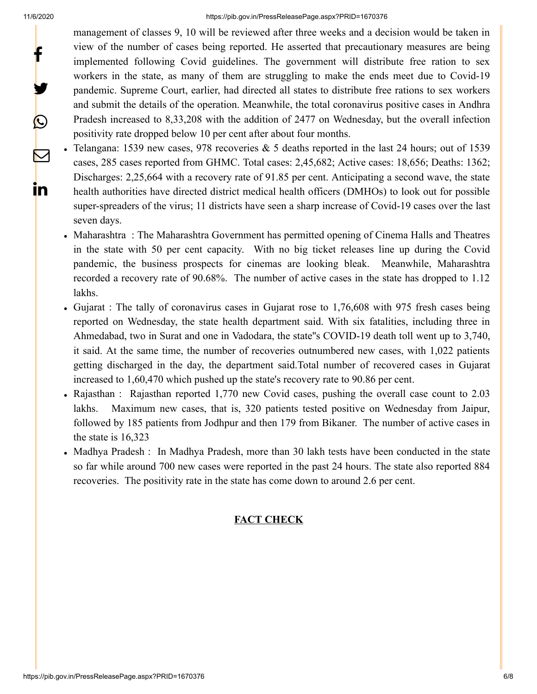y.

 $\bm{\mathcal{Q}}$ 

 $\mathbf{\nabla}$ 

in

management of classes 9, 10 will be reviewed after three weeks and a decision would be taken in view of the number of cases being reported. He asserted that precautionary measures are being implemented following Covid guidelines. The government will distribute free ration to sex workers in the state, as many of them are struggling to make the ends meet due to Covid-19 pandemic. Supreme Court, earlier, had directed all states to distribute free rations to sex workers and submit the details of the operation. Meanwhile, the total coronavirus positive cases in Andhra Pradesh increased to 8,33,208 with the addition of 2477 on Wednesday, but the overall infection positivity rate dropped below 10 per cent after about four months.

- Telangana: 1539 new cases, 978 recoveries & 5 deaths reported in the last 24 hours; out of 1539 cases, 285 cases reported from GHMC. Total cases: 2,45,682; Active cases: 18,656; Deaths: 1362; Discharges: 2,25,664 with a recovery rate of 91.85 per cent. Anticipating a second wave, the state health authorities have directed district medical health officers (DMHOs) to look out for possible super-spreaders of the virus; 11 districts have seen a sharp increase of Covid-19 cases over the last seven days.
- Maharashtra : The Maharashtra Government has permitted opening of Cinema Halls and Theatres in the state with 50 per cent capacity. With no big ticket releases line up during the Covid pandemic, the business prospects for cinemas are looking bleak. Meanwhile, Maharashtra recorded a recovery rate of 90.68%. The number of active cases in the state has dropped to 1.12 lakhs.
- Gujarat : The tally of coronavirus cases in Gujarat rose to 1,76,608 with 975 fresh cases being reported on Wednesday, the state health department said. With six fatalities, including three in Ahmedabad, two in Surat and one in Vadodara, the state''s COVID-19 death toll went up to 3,740, it said. At the same time, the number of recoveries outnumbered new cases, with 1,022 patients getting discharged in the day, the department said.Total number of recovered cases in Gujarat increased to 1,60,470 which pushed up the state's recovery rate to 90.86 per cent.
- Rajasthan : Rajasthan reported 1,770 new Covid cases, pushing the overall case count to 2.03 lakhs. Maximum new cases, that is, 320 patients tested positive on Wednesday from Jaipur, followed by 185 patients from Jodhpur and then 179 from Bikaner. The number of active cases in the state is 16,323
- Madhya Pradesh : In Madhya Pradesh, more than 30 lakh tests have been conducted in the state so far while around 700 new cases were reported in the past 24 hours. The state also reported 884 recoveries. The positivity rate in the state has come down to around 2.6 per cent.

### **FACT CHECK**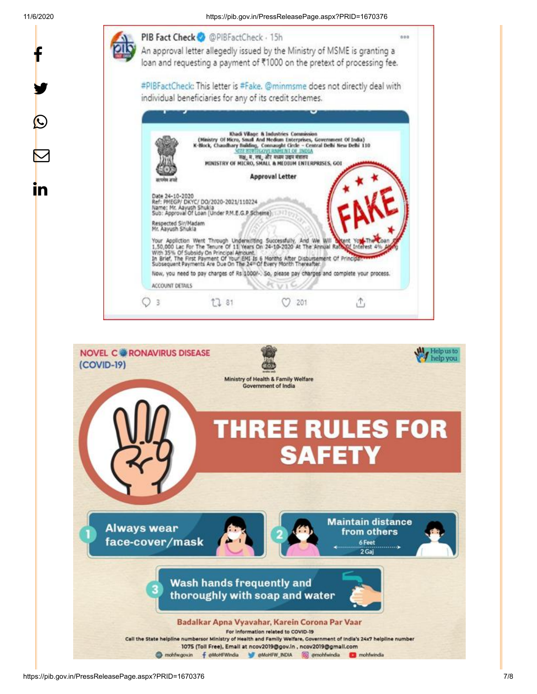y.

C

 $\bm{\nabla}$ 

<u>in</u>

11/6/2020 https://pib.gov.in/PressReleasePage.aspx?PRID=1670376